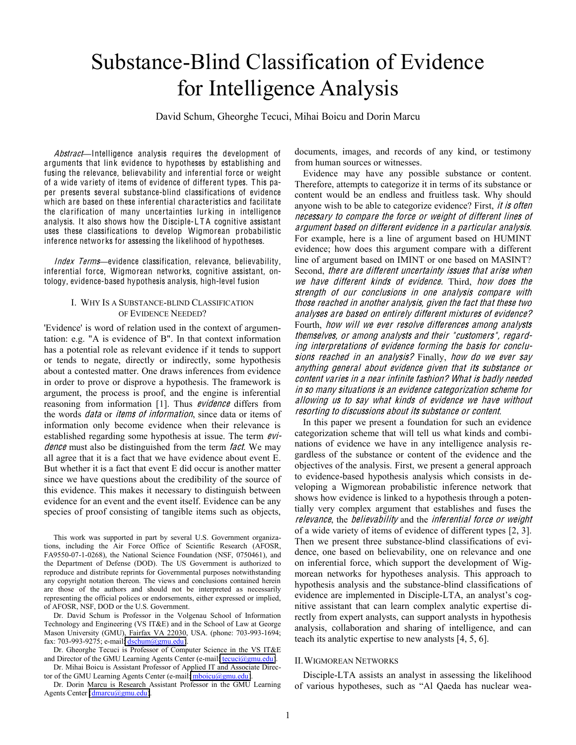# Substance-Blind Classification of Evidence for Intelligence Analysis

David Schum, Gheorghe Tecuci, Mihai Boicu and Dorin Marcu

Abstract-Intelligence analysis requires the development of arguments that link evidence to hypotheses by establishing and fusing the relevance, believability and inferential force or weight of a wide variety of items of evidence of different types. This paper presents several substance-blind classifications of evidence which are based on these inferential characteristics and facilitate the clarification of many uncertainties lur king in intelligence analysis. It also shows how the Disciple-LTA cognitive assistant uses these classifications to develop Wigmorean probabilistic inference networ ks for assessing the likelihood of hypotheses.

Index Terms-evidence classification, relevance, believability, inferential force, Wigmorean networks, cognitive assistant, ontology, evidence-based hypothesis analysis, high-level fusion

## I. WHY IS A SUBSTANCE-BLIND CLASSIFICATION OF EVIDENCE NEEDED?

'Evidence' is word of relation used in the context of argumentation: e.g. "A is evidence of B". In that context information has a potential role as relevant evidence if it tends to support or tends to negate, directly or indirectly, some hypothesis about a contested matter. One draws inferences from evidence in order to prove or disprove a hypothesis. The framework is argument, the process is proof, and the engine is inferential reasoning from information [1]. Thus evidence differs from the words *data* or *items of information*, since data or items of information only become evidence when their relevance is established regarding some hypothesis at issue. The term  $eV$ *i*dence must also be distinguished from the term *fact*. We may all agree that it is a fact that we have evidence about event E. But whether it is a fact that event E did occur is another matter since we have questions about the credibility of the source of this evidence. This makes it necessary to distinguish between evidence for an event and the event itself. Evidence can be any species of proof consisting of tangible items such as objects,

This work was supported in part by several U.S. Government organizations, including the Air Force Office of Scientific Research (AFOSR, FA9550-07-1-0268), the National Science Foundation (NSF, 0750461), and the Department of Defense (DOD). The US Government is authorized to reproduce and distribute reprints for Governmental purposes notwithstanding any copyright notation thereon. The views and conclusions contained herein are those of the authors and should not be interpreted as necessarily representing the official polices or endorsements, either expressed or implied, of AFOSR, NSF, DOD or the U.S. Government.

Dr. David Schum is Professor in the Volgenau School of Information Technology and Engineering (VS IT&E) and in the School of Law at George Mason University (GMU), Fairfax VA 22030, USA. (phone: 703-993-1694; fax: 703-993-9275; e-mail[: dschum@gmu.edu\)](mailto:dschum@gmu.edu).

Dr. Gheorghe Tecuci is Professor of Computer Science in the VS IT&E and Director of the GMU Learning Agents Center (e-mail[: tecuci@gmu.edu\)](mailto:tecuci@gmu.edu).

Dr. Mihai Boicu is Assistant Professor of Applied IT and Associate Director of the GMU Learning Agents Center (e-mail: [mboicu@gmu.edu\)](mailto:mboicu@gmu.edu).

Dr. Dorin Marcu is Research Assistant Professor in the GMU Learning Agents Center [\(dmarcu@gmu.edu\)](mailto:dmarcu@gmu.edu).

documents, images, and records of any kind, or testimony from human sources or witnesses.

Evidence may have any possible substance or content. Therefore, attempts to categorize it in terms of its substance or content would be an endless and fruitless task. Why should anyone wish to be able to categorize evidence? First, *it is often* <sup>n</sup>ecessary t<sup>o</sup> <sup>c</sup>ompar<sup>e</sup> th<sup>e</sup> force or <sup>w</sup><sup>e</sup>ight <sup>o</sup>f different line<sup>s</sup> <sup>o</sup>f argument based on different <sup>e</sup>vidence in <sup>a</sup> particular analysis. For example, here is a line of argument based on HUMINT evidence; how does this argument compare with a different line of argument based on IMINT or one based on MASINT? Second, <sup>t</sup>her<sup>e</sup> ar<sup>e</sup> differen<sup>t</sup> uncertainty issue<sup>s</sup> <sup>t</sup>ha<sup>t</sup> aris<sup>e</sup> whe<sup>n</sup> <sup>w</sup><sup>e</sup> hav<sup>e</sup> differen<sup>t</sup> kind<sup>s</sup> <sup>o</sup>f <sup>e</sup>vidence. Third, how doe<sup>s</sup> <sup>t</sup>h<sup>e</sup> strength <sup>o</sup>f our <sup>c</sup>onclusion<sup>s</sup> in on<sup>e</sup> analysi<sup>s</sup> <sup>c</sup>ompar<sup>e</sup> with thos<sup>e</sup> <sup>r</sup>eached in anothe<sup>r</sup> analysis, giv<sup>e</sup><sup>n</sup> th<sup>e</sup> fact that thes<sup>e</sup> two analy<sup>s</sup>e<sup>s</sup> ar<sup>e</sup> based on <sup>e</sup>ntirely different <sup>m</sup>ixture<sup>s</sup> <sup>o</sup>f <sup>e</sup>vidence? Fourth, how will <sup>w</sup><sup>e</sup> <sup>e</sup>ve<sup>r</sup> <sup>r</sup>esolv<sup>e</sup> difference<sup>s</sup> <sup>a</sup>mong analysts themselves, or <sup>a</sup>mong analysts and their " <sup>c</sup>ustomers", <sup>r</sup><sup>e</sup>garding interpretation<sup>s</sup> <sup>o</sup>f <sup>e</sup>vidence forming th<sup>e</sup> basi<sup>s</sup> for <sup>c</sup>onclusions reached in an analysis? Finally, how do we ever say anything general about <sup>e</sup>vidence giv<sup>e</sup><sup>n</sup> that its <sup>s</sup>ubstance or <sup>c</sup>ontent varie<sup>s</sup> in <sup>a</sup> <sup>n</sup>ear infinit<sup>e</sup> fashion? What i<sup>s</sup> badly <sup>n</sup>eeded in <sup>s</sup><sup>o</sup> <sup>m</sup>any <sup>s</sup>ituation<sup>s</sup> i<sup>s</sup> an <sup>e</sup>vidence <sup>c</sup>ategorization <sup>s</sup>chem<sup>e</sup> for allowing <sup>u</sup><sup>s</sup> t<sup>o</sup> <sup>s</sup>ay what kind<sup>s</sup> <sup>o</sup>f <sup>e</sup>vidence <sup>w</sup><sup>e</sup> hav<sup>e</sup> without <sup>r</sup>esorting <sup>t</sup><sup>o</sup> discussion<sup>s</sup> abou<sup>t</sup> its <sup>s</sup>ubstance or <sup>c</sup>onten<sup>t</sup>.

In this paper we present a foundation for such an evidence categorization scheme that will tell us what kinds and combinations of evidence we have in any intelligence analysis regardless of the substance or content of the evidence and the objectives of the analysis. First, we present a general approach to evidence-based hypothesis analysis which consists in developing a Wigmorean probabilistic inference network that shows how evidence is linked to a hypothesis through a potentially very complex argument that establishes and fuses the relevance, the believability and the inferential force or weight of a wide variety of items of evidence of different types [2, 3]. Then we present three substance-blind classifications of evidence, one based on believability, one on relevance and one on inferential force, which support the development of Wigmorean networks for hypotheses analysis. This approach to hypothesis analysis and the substance-blind classifications of evidence are implemented in Disciple-LTA, an analyst's cognitive assistant that can learn complex analytic expertise directly from expert analysts, can support analysts in hypothesis analysis, collaboration and sharing of intelligence, and can teach its analytic expertise to new analysts [4, 5, 6].

#### II.WIGMOREAN NETWORKS

Disciple-LTA assists an analyst in assessing the likelihood of various hypotheses, such as "Al Qaeda has nuclear wea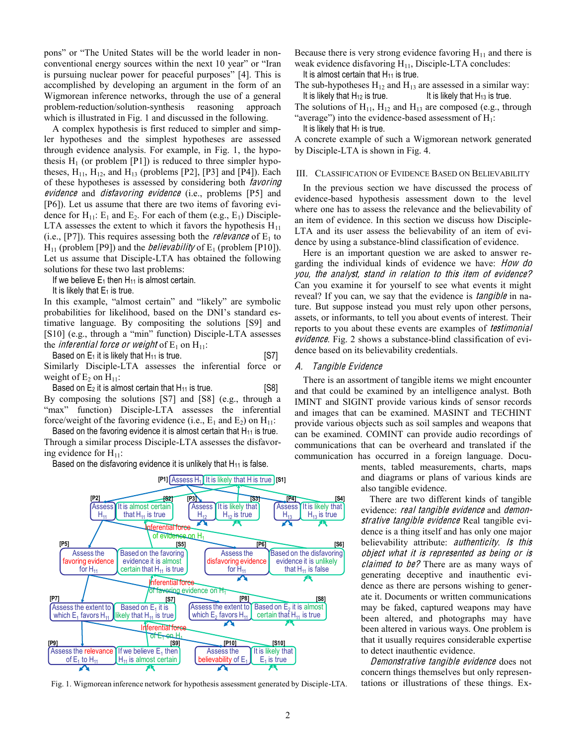pons" or "The United States will be the world leader in nonconventional energy sources within the next  $10$  year" or "Iran is pursuing nuclear power for peaceful purposes" [4]. This is accomplished by developing an argument in the form of an Wigmorean inference networks, through the use of a general problem-reduction/solution-synthesis reasoning approach which is illustrated in Fig. 1 and discussed in the following.

A complex hypothesis is first reduced to simpler and simpler hypotheses and the simplest hypotheses are assessed through evidence analysis. For example, in Fig. 1, the hypothesis  $H_1$  (or problem [P1]) is reduced to three simpler hypotheses,  $H_{11}$ ,  $H_{12}$ , and  $H_{13}$  (problems [P2], [P3] and [P4]). Each of these hypotheses is assessed by considering both *favoring* evidence and *disfavoring evidence* (i.e., problems [P5] and [P6]). Let us assume that there are two items of favoring evidence for  $H_{11}$ :  $E_1$  and  $E_2$ . For each of them (e.g.,  $E_1$ ) Disciple-LTA assesses the extent to which it favors the hypothesis  $H_{11}$ (i.e., [P7]). This requires assessing both the *relevance* of  $E_1$  to  $H_{11}$  (problem [P9]) and the *believability* of  $E_1$  (problem [P10]). Let us assume that Disciple-LTA has obtained the following solutions for these two last problems:

If we believe  $E_1$  then  $H_{11}$  is almost certain.

It is likely that  $E_1$  is true.

In this example, "almost certain" and "likely" are symbolic probabilities for likelihood, based on the DNI's standard estimative language. By compositing the solutions [S9] and [S10] (e.g., through a "min" function) Disciple-LTA assesses the *inferential force or weight* of  $E_1$  on  $H_{11}$ :

Based on  $E_1$  it is likely that  $H_{11}$  is true. [S7] Similarly Disciple-LTA assesses the inferential force or weight of  $E_2$  on  $H_{11}$ :

Based on  $E_2$  it is almost certain that  $H_{11}$  is true. [S8] By composing the solutions [S7] and [S8] (e.g., through a "max" function) Disciple-LTA assesses the inferential force/weight of the favoring evidence (i.e.,  $E_1$  and  $E_2$ ) on  $H_{11}$ :

Based on the favoring evidence it is almost certain that  $H_{11}$  is true. Through a similar process Disciple-LTA assesses the disfavoring evidence for  $H_{11}$ :

Based on the disfavoring evidence it is unlikely that  $H_{11}$  is false.



Fig. 1. Wigmorean inference network for hypothesis assessment generated by Disciple-LTA.

Because there is very strong evidence favoring  $H_{11}$  and there is weak evidence disfavoring  $H_{11}$ , Disciple-LTA concludes:

It is almost certain that  $H_{11}$  is true.

The sub-hypotheses  $H_{12}$  and  $H_{13}$  are assessed in a similar way: It is likely that  $H_{12}$  is true. It is likely that  $H_{13}$  is true.

The solutions of  $H_{11}$ ,  $H_{12}$  and  $H_{13}$  are composed (e.g., through "average") into the evidence-based assessment of  $H_1$ :

It is likely that  $H_1$  is true.

A concrete example of such a Wigmorean network generated by Disciple-LTA is shown in Fig. 4.

#### III. CLASSIFICATION OF EVIDENCE BASED ON BELIEVABILITY

In the previous section we have discussed the process of evidence-based hypothesis assessment down to the level where one has to assess the relevance and the believability of an item of evidence. In this section we discuss how Disciple-LTA and its user assess the believability of an item of evidence by using a substance-blind classification of evidence.

Here is an important question we are asked to answer regarding the individual kinds of evidence we have: How do you, th<sup>e</sup> analyst, stand in <sup>r</sup>elation t<sup>o</sup> thi<sup>s</sup> ite<sup>m</sup> <sup>o</sup>f <sup>e</sup>vidence? Can you examine it for yourself to see what events it might reveal? If you can, we say that the evidence is *tangible* in nature. But suppose instead you must rely upon other persons, assets, or informants, to tell you about events of interest. Their reports to you about these events are examples of *testimonial* evidence. Fig. 2 shows a substance-blind classification of evidence based on its believability credentials.

#### A. Tangibl<sup>e</sup> Evidence

There is an assortment of tangible items we might encounter and that could be examined by an intelligence analyst. Both IMINT and SIGINT provide various kinds of sensor records and images that can be examined. MASINT and TECHINT provide various objects such as soil samples and weapons that can be examined. COMINT can provide audio recordings of communications that can be overheard and translated if the communication has occurred in a foreign language. Docu-

ments, tabled measurements, charts, maps and diagrams or plans of various kinds are also tangible evidence.

There are two different kinds of tangible evidence: real tangible evidence and demonstrative tangible evidence Real tangible evidence is a thing itself and has only one major believability attribute: *authenticity*. *Is this* object what it i<sup>s</sup> <sup>r</sup>epresented <sup>a</sup><sup>s</sup> being or i<sup>s</sup> claimed to be? There are as many ways of generating deceptive and inauthentic evidence as there are persons wishing to generate it. Documents or written communications may be faked, captured weapons may have been altered, and photographs may have been altered in various ways. One problem is that it usually requires considerable expertise to detect inauthentic evidence.

Demonstrativ<sup>e</sup> <sup>t</sup>angibl<sup>e</sup> <sup>e</sup>vidence does not concern things themselves but only representations or illustrations of these things. Ex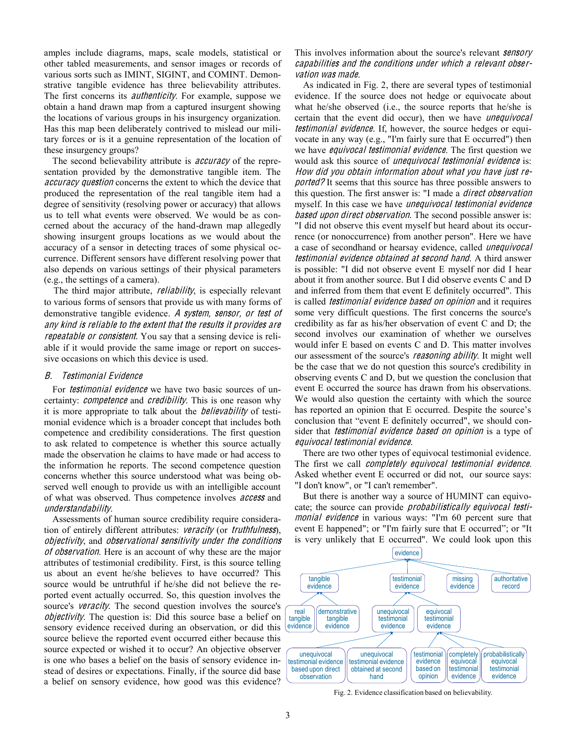amples include diagrams, maps, scale models, statistical or other tabled measurements, and sensor images or records of various sorts such as IMINT, SIGINT, and COMINT. Demonstrative tangible evidence has three believability attributes. The first concerns its *authenticity*. For example, suppose we obtain a hand drawn map from a captured insurgent showing the locations of various groups in his insurgency organization. Has this map been deliberately contrived to mislead our military forces or is it a genuine representation of the location of these insurgency groups?

The second believability attribute is *accuracy* of the representation provided by the demonstrative tangible item. The accuracy question concerns the extent to which the device that produced the representation of the real tangible item had a degree of sensitivity (resolving power or accuracy) that allows us to tell what events were observed. We would be as concerned about the accuracy of the hand-drawn map allegedly showing insurgent groups locations as we would about the accuracy of a sensor in detecting traces of some physical occurrence. Different sensors have different resolving power that also depends on various settings of their physical parameters (e.g., the settings of a camera).

The third major attribute, *reliability*, is especially relevant to various forms of sensors that provide us with many forms of demonstrative tangible evidence. A system, sensor, or test of any kind i<sup>s</sup> <sup>r</sup>eliabl<sup>e</sup> t<sup>o</sup> th<sup>e</sup> <sup>e</sup>xtent that th<sup>e</sup> <sup>r</sup>esults it provide<sup>s</sup> ar<sup>e</sup> repeatable or consistent. You say that a sensing device is reliable if it would provide the same image or report on successive occasions on which this device is used.

#### B. Testimonial Evidence

For *testimonial evidence* we have two basic sources of uncertainty: *competence* and *credibility*. This is one reason why it is more appropriate to talk about the believability of testimonial evidence which is a broader concept that includes both competence and credibility considerations. The first question to ask related to competence is whether this source actually made the observation he claims to have made or had access to the information he reports. The second competence question concerns whether this source understood what was being observed well enough to provide us with an intelligible account of what was observed. Thus competence involves *access* and understandability.

Assessments of human source credibility require consideration of entirely different attributes: veracity (or <sup>t</sup>ruthfulness), objectivity, and observational <sup>s</sup>ensitivity unde<sup>r</sup> <sup>t</sup>h<sup>e</sup> <sup>c</sup>ondition<sup>s</sup> of observation. Here is an account of why these are the major attributes of testimonial credibility. First, is this source telling us about an event he/she believes to have occurred? This source would be untruthful if he/she did not believe the reported event actually occurred. So, this question involves the source's veracity. The second question involves the source's objectivity. The question is: Did this source base a belief on sensory evidence received during an observation, or did this source believe the reported event occurred either because this source expected or wished it to occur? An objective observer is one who bases a belief on the basis of sensory evidence instead of desires or expectations. Finally, if the source did base a belief on sensory evidence, how good was this evidence?

## This involves information about the source's relevant **sensory** <sup>c</sup>apabilitie<sup>s</sup> and th<sup>e</sup> <sup>c</sup>ondition<sup>s</sup> unde<sup>r</sup> which <sup>a</sup> <sup>r</sup>elevant observation wa<sup>s</sup> <sup>m</sup>ade.

As indicated in Fig. 2, there are several types of testimonial evidence. If the source does not hedge or equivocate about what he/she observed (i.e., the source reports that he/she is certain that the event did occur), then we have *unequivocal testimonial evidence*. If, however, the source hedges or equivocate in any way (e.g., "I'm fairly sure that E occurred") then we have *equivocal testimonial evidence*. The first question we would ask this source of *unequivocal testimonial evidence* is: How did you obtain information about what you hav<sup>e</sup> just <sup>r</sup>e*ported?* It seems that this source has three possible answers to this question. The first answer is: "I made a *direct observation* myself. In this case we have *unequivocal testimonial evidence based upon direct observation*. The second possible answer is: "I did not observe this event myself but heard about its occurrence (or nonoccurrence) from another person". Here we have a case of secondhand or hearsay evidence, called un<sup>e</sup>quivocal testimonial evidence obtained at second hand. A third answer is possible: "I did not observe event E myself nor did I hear about it from another source. But I did observe events C and D and inferred from them that event E definitely occurred". This is called *testimonial evidence based on opinion* and it requires some very difficult questions. The first concerns the source's credibility as far as his/her observation of event C and D; the second involves our examination of whether we ourselves would infer E based on events C and D. This matter involves our assessment of the source's reasoning ability. It might well be the case that we do not question this source's credibility in observing events C and D, but we question the conclusion that event E occurred the source has drawn from his observations. We would also question the certainty with which the source has reported an opinion that E occurred. Despite the source's conclusion that "event E definitely occurred", we should consider that *testimonial evidence based on opinion* is a type of <sup>e</sup>quivocal <sup>t</sup>estimonial <sup>e</sup>vidence.

There are two other types of equivocal testimonial evidence. The first we call *completely equivocal testimonial evidence*. Asked whether event E occurred or did not, our source says: "I don't know", or "I can't remember".

But there is another way a source of HUMINT can equivocate; the source can provide probabilistically <sup>e</sup>quivocal <sup>t</sup>estimonial evidence in various ways: "I'm 60 percent sure that event E happened"; or "I'm fairly sure that E occurred"; or "It is very unlikely that E occurred". We could look upon this



Fig. 2. Evidence classification based on believability.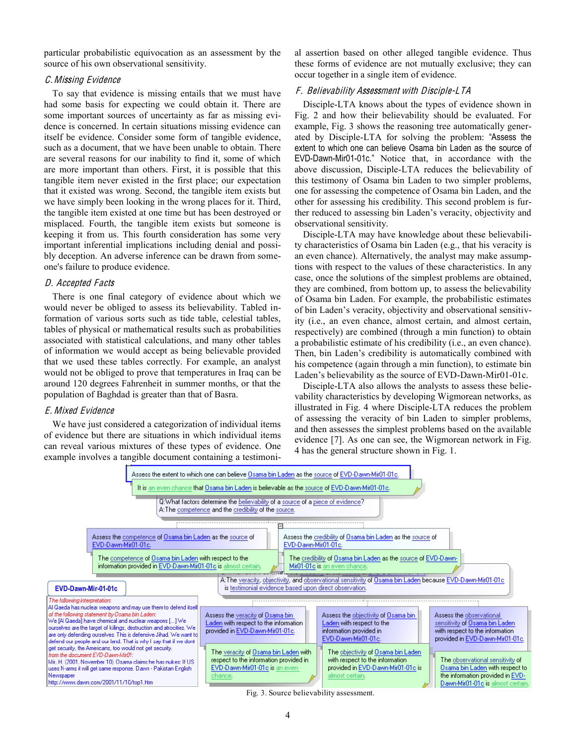particular probabilistic equivocation as an assessment by the source of his own observational sensitivity.

#### C.Missing Evidence

To say that evidence is missing entails that we must have had some basis for expecting we could obtain it. There are some important sources of uncertainty as far as missing evidence is concerned. In certain situations missing evidence can itself be evidence. Consider some form of tangible evidence, such as a document, that we have been unable to obtain. There are several reasons for our inability to find it, some of which are more important than others. First, it is possible that this tangible item never existed in the first place; our expectation that it existed was wrong. Second, the tangible item exists but we have simply been looking in the wrong places for it. Third, the tangible item existed at one time but has been destroyed or misplaced. Fourth, the tangible item exists but someone is keeping it from us. This fourth consideration has some very important inferential implications including denial and possibly deception. An adverse inference can be drawn from someone's failure to produce evidence.

#### D. Accepted Facts

There is one final category of evidence about which we would never be obliged to assess its believability. Tabled information of various sorts such as tide table, celestial tables, tables of physical or mathematical results such as probabilities associated with statistical calculations, and many other tables of information we would accept as being believable provided that we used these tables correctly. For example, an analyst would not be obliged to prove that temperatures in Iraq can be around 120 degrees Fahrenheit in summer months, or that the population of Baghdad is greater than that of Basra.

#### E. Mixed Evidence

We have just considered a categorization of individual items of evidence but there are situations in which individual items can reveal various mixtures of these types of evidence. One example involves a tangible document containing a testimonial assertion based on other alleged tangible evidence. Thus these forms of evidence are not mutually exclusive; they can occur together in a single item of evidence.

## F. Believability Assessment with Disciple-LTA

Disciple-LTA knows about the types of evidence shown in Fig. 2 and how their believability should be evaluated. For example, Fig. 3 shows the reasoning tree automatically generated by Disciple-LTA for solving the problem: "Assess the extent to which one can believe Osama bin Laden as the source of EVD-Dawn-Mir01-01c." Notice that, in accordance with the above discussion, Disciple-LTA reduces the believability of this testimony of Osama bin Laden to two simpler problems, one for assessing the competence of Osama bin Laden, and the other for assessing his credibility. This second problem is further reduced to assessing bin Laden's veracity, objectivity and observational sensitivity.

Disciple-LTA may have knowledge about these believability characteristics of Osama bin Laden (e.g., that his veracity is an even chance). Alternatively, the analyst may make assumptions with respect to the values of these characteristics. In any case, once the solutions of the simplest problems are obtained, they are combined, from bottom up, to assess the believability of Osama bin Laden. For example, the probabilistic estimates of bin Laden's veracity, objectivity and observational sensitivity (i.e., an even chance, almost certain, and almost certain, respectively) are combined (through a min function) to obtain a probabilistic estimate of his credibility (i.e., an even chance). Then, bin Laden's credibility is automatically combined with his competence (again through a min function), to estimate bin Laden's believability as the source of EVD-Dawn-Mir01-01c.

Disciple-LTA also allows the analysts to assess these believability characteristics by developing Wigmorean networks, as illustrated in Fig. 4 where Disciple-LTA reduces the problem of assessing the veracity of bin Laden to simpler problems, and then assesses the simplest problems based on the available evidence [7]. As one can see, the Wigmorean network in Fig. 4 has the general structure shown in Fig. 1.



Fig. 3. Source believability assessment.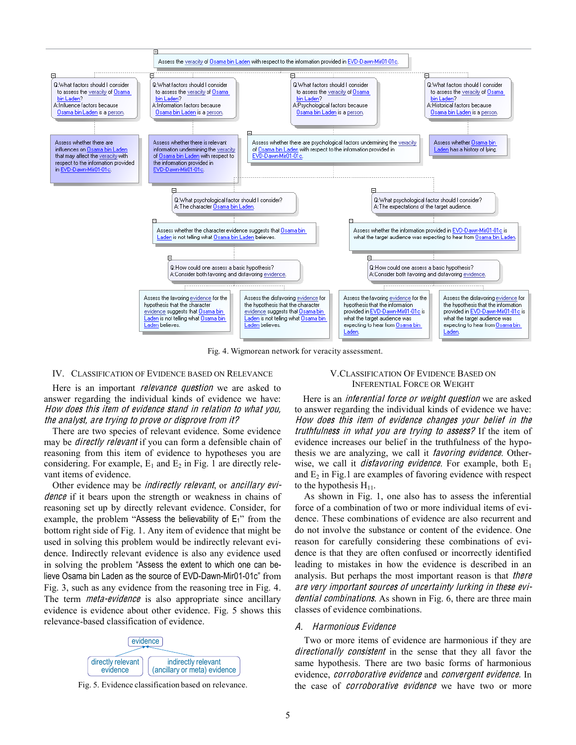

Fig. 4. Wigmorean network for veracity assessment.

#### IV. CLASSIFICATION OF EVIDENCE BASED ON RELEVANCE

Here is an important *relevance question* we are asked to answer regarding the individual kinds of evidence we have: How doe<sup>s</sup> thi<sup>s</sup> ite<sup>m</sup> <sup>o</sup>f <sup>e</sup>vidence stand in <sup>r</sup>elation t<sup>o</sup> what you, th<sup>e</sup> analyst, ar<sup>e</sup> trying t<sup>o</sup> prov<sup>e</sup> or disprov<sup>e</sup> fro<sup>m</sup> it?

There are two species of relevant evidence. Some evidence may be *directly relevant* if you can form a defensible chain of reasoning from this item of evidence to hypotheses you are considering. For example,  $E_1$  and  $E_2$  in Fig. 1 are directly relevant items of evidence.

Other evidence may be *indirectly relevant*, or *ancillary evi*dence if it bears upon the strength or weakness in chains of reasoning set up by directly relevant evidence. Consider, for example, the problem "Assess the believability of  $E_1$ " from the bottom right side of Fig. 1. Any item of evidence that might be used in solving this problem would be indirectly relevant evidence. Indirectly relevant evidence is also any evidence used in solving the problem "Assess the extent to which one can believe Osama bin Laden as the source of EVD-Dawn-Mir01-01c" from Fig. 3, such as any evidence from the reasoning tree in Fig. 4. The term *meta-evidence* is also appropriate since ancillary evidence is evidence about other evidence. Fig. 5 shows this relevance-based classification of evidence.



## V.CLASSIFICATION OF EVIDENCE BASED ON INFERENTIAL FORCE OR WEIGHT

Here is an *inferential force or weight question* we are asked to answer regarding the individual kinds of evidence we have: How doe<sup>s</sup> thi<sup>s</sup> ite<sup>m</sup> <sup>o</sup>f <sup>e</sup>vidence <sup>c</sup>hange<sup>s</sup> your belief in th<sup>e</sup> <sup>t</sup>ruthfulness in wha<sup>t</sup> you ar<sup>e</sup> <sup>t</sup>rying <sup>t</sup><sup>o</sup> <sup>a</sup>ssess? If the item of evidence increases our belief in the truthfulness of the hypothesis we are analyzing, we call it favoring <sup>e</sup>vidence. Otherwise, we call it *disfavoring evidence*. For example, both  $E_1$ and  $E_2$  in Fig.1 are examples of favoring evidence with respect to the hypothesis  $H_{11}$ .

As shown in Fig. 1, one also has to assess the inferential force of a combination of two or more individual items of evidence. These combinations of evidence are also recurrent and do not involve the substance or content of the evidence. One reason for carefully considering these combinations of evidence is that they are often confused or incorrectly identified leading to mistakes in how the evidence is described in an analysis. But perhaps the most important reason is that *there* ar<sup>e</sup> <sup>v</sup>ery important <sup>s</sup>ource<sup>s</sup> <sup>o</sup>f uncertainty lurking in thes<sup>e</sup> <sup>e</sup>vidential combinations. As shown in Fig. 6, there are three main classes of evidence combinations.

## A. Harmonious Evidence

Two or more items of evidence are harmonious if they are directionally consistent in the sense that they all favor the same hypothesis. There are two basic forms of harmonious evidence, corroborativ<sup>e</sup> <sup>e</sup>vidence and <sup>c</sup>onvergen<sup>t</sup> <sup>e</sup>vidence. In Fig. 5. Evidence classification based on relevance. The case of *corroborative evidence* we have two or more